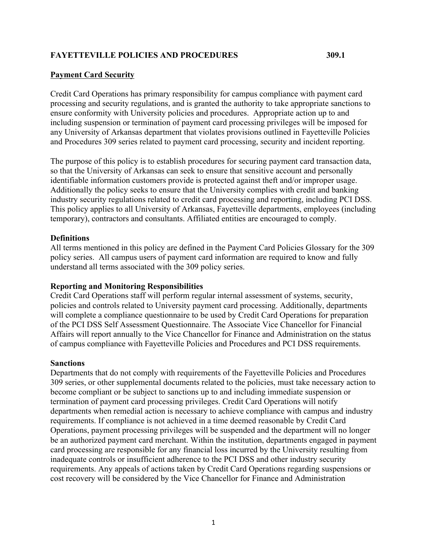# **FAYETTEVILLE POLICIES AND PROCEDURES 309.1**

# **Payment Card Security**

Credit Card Operations has primary responsibility for campus compliance with payment card processing and security regulations, and is granted the authority to take appropriate sanctions to ensure conformity with University policies and procedures. Appropriate action up to and including suspension or termination of payment card processing privileges will be imposed for any University of Arkansas department that violates provisions outlined in Fayetteville Policies and Procedures 309 series related to payment card processing, security and incident reporting.

The purpose of this policy is to establish procedures for securing payment card transaction data, so that the University of Arkansas can seek to ensure that sensitive account and personally identifiable information customers provide is protected against theft and/or improper usage. Additionally the policy seeks to ensure that the University complies with credit and banking industry security regulations related to credit card processing and reporting, including PCI DSS. This policy applies to all University of Arkansas, Fayetteville departments, employees (including temporary), contractors and consultants. Affiliated entities are encouraged to comply.

### **Definitions**

All terms mentioned in this policy are defined in the Payment Card Policies Glossary for the 309 policy series. All campus users of payment card information are required to know and fully understand all terms associated with the 309 policy series.

### **Reporting and Monitoring Responsibilities**

Credit Card Operations staff will perform regular internal assessment of systems, security, policies and controls related to University payment card processing. Additionally, departments will complete a compliance questionnaire to be used by Credit Card Operations for preparation of the PCI DSS Self Assessment Questionnaire. The Associate Vice Chancellor for Financial Affairs will report annually to the Vice Chancellor for Finance and Administration on the status of campus compliance with Fayetteville Policies and Procedures and PCI DSS requirements.

### **Sanctions**

Departments that do not comply with requirements of the Fayetteville Policies and Procedures 309 series, or other supplemental documents related to the policies, must take necessary action to become compliant or be subject to sanctions up to and including immediate suspension or termination of payment card processing privileges. Credit Card Operations will notify departments when remedial action is necessary to achieve compliance with campus and industry requirements. If compliance is not achieved in a time deemed reasonable by Credit Card Operations, payment processing privileges will be suspended and the department will no longer be an authorized payment card merchant. Within the institution, departments engaged in payment card processing are responsible for any financial loss incurred by the University resulting from inadequate controls or insufficient adherence to the PCI DSS and other industry security requirements. Any appeals of actions taken by Credit Card Operations regarding suspensions or cost recovery will be considered by the Vice Chancellor for Finance and Administration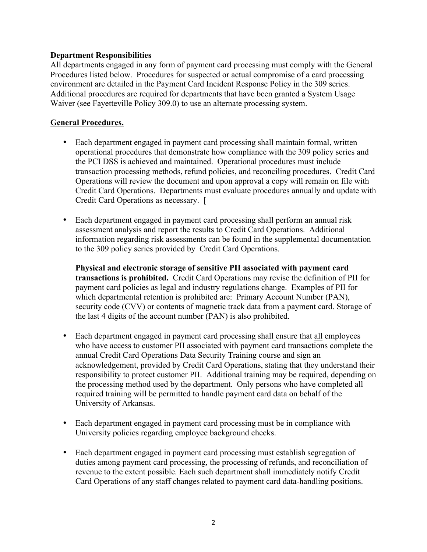# **Department Responsibilities**

All departments engaged in any form of payment card processing must comply with the General Procedures listed below. Procedures for suspected or actual compromise of a card processing environment are detailed in the Payment Card Incident Response Policy in the 309 series. Additional procedures are required for departments that have been granted a System Usage Waiver (see Fayetteville Policy 309.0) to use an alternate processing system.

# **General Procedures.**

- Each department engaged in payment card processing shall maintain formal, written operational procedures that demonstrate how compliance with the 309 policy series and the PCI DSS is achieved and maintained. Operational procedures must include transaction processing methods, refund policies, and reconciling procedures. Credit Card Operations will review the document and upon approval a copy will remain on file with Credit Card Operations. Departments must evaluate procedures annually and update with Credit Card Operations as necessary. [
- Each department engaged in payment card processing shall perform an annual risk assessment analysis and report the results to Credit Card Operations. Additional information regarding risk assessments can be found in the supplemental documentation to the 309 policy series provided by Credit Card Operations.

**Physical and electronic storage of sensitive PII associated with payment card transactions is prohibited.** Credit Card Operations may revise the definition of PII for payment card policies as legal and industry regulations change. Examples of PII for which departmental retention is prohibited are: Primary Account Number (PAN), security code (CVV) or contents of magnetic track data from a payment card. Storage of the last 4 digits of the account number (PAN) is also prohibited.

- Each department engaged in payment card processing shall ensure that all employees who have access to customer PII associated with payment card transactions complete the annual Credit Card Operations Data Security Training course and sign an acknowledgement, provided by Credit Card Operations, stating that they understand their responsibility to protect customer PII. Additional training may be required, depending on the processing method used by the department. Only persons who have completed all required training will be permitted to handle payment card data on behalf of the University of Arkansas.
- Each department engaged in payment card processing must be in compliance with University policies regarding employee background checks.
- Each department engaged in payment card processing must establish segregation of duties among payment card processing, the processing of refunds, and reconciliation of revenue to the extent possible. Each such department shall immediately notify Credit Card Operations of any staff changes related to payment card data-handling positions.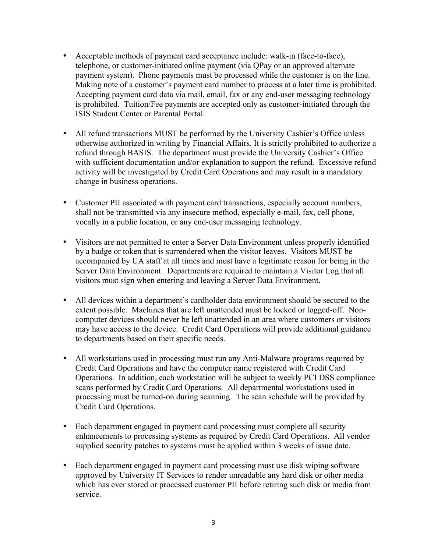- Acceptable methods of payment card acceptance include: walk-in (face-to-face), telephone, or customer-initiated online payment (via QPay or an approved alternate payment system). Phone payments must be processed while the customer is on the line. Making note of a customer's payment card number to process at a later time is prohibited. Accepting payment card data via mail, email, fax or any end-user messaging technology is prohibited. Tuition/Fee payments are accepted only as customer-initiated through the ISIS Student Center or Parental Portal.
- All refund transactions MUST be performed by the University Cashier's Office unless otherwise authorized in writing by Financial Affairs. It is strictly prohibited to authorize a refund through BASIS. The department must provide the University Cashier's Office with sufficient documentation and/or explanation to support the refund. Excessive refund activity will be investigated by Credit Card Operations and may result in a mandatory change in business operations.
- Customer PII associated with payment card transactions, especially account numbers, shall not be transmitted via any insecure method, especially e-mail, fax, cell phone, vocally in a public location, or any end-user messaging technology.
- Visitors are not permitted to enter a Server Data Environment unless properly identified by a badge or token that is surrendered when the visitor leaves. Visitors MUST be accompanied by UA staff at all times and must have a legitimate reason for being in the Server Data Environment. Departments are required to maintain a Visitor Log that all visitors must sign when entering and leaving a Server Data Environment.
- All devices within a department's cardholder data environment should be secured to the extent possible. Machines that are left unattended must be locked or logged-off. Noncomputer devices should never be left unattended in an area where customers or visitors may have access to the device. Credit Card Operations will provide additional guidance to departments based on their specific needs.
- All workstations used in processing must run any Anti-Malware programs required by Credit Card Operations and have the computer name registered with Credit Card Operations. In addition, each workstation will be subject to weekly PCI DSS compliance scans performed by Credit Card Operations. All departmental workstations used in processing must be turned-on during scanning. The scan schedule will be provided by Credit Card Operations.
- Each department engaged in payment card processing must complete all security enhancements to processing systems as required by Credit Card Operations. All vendor supplied security patches to systems must be applied within 3 weeks of issue date.
- Each department engaged in payment card processing must use disk wiping software approved by University IT Services to render unreadable any hard disk or other media which has ever stored or processed customer PII before retiring such disk or media from service.